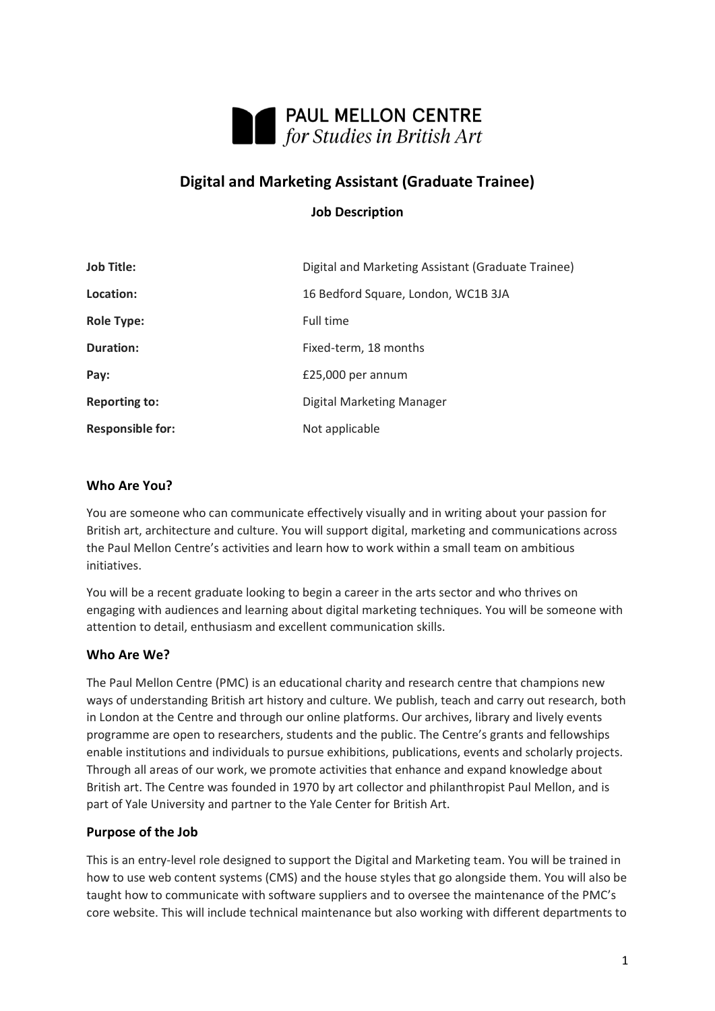

# **Digital and Marketing Assistant (Graduate Trainee)**

# **Job Description**

| <b>Job Title:</b>       | Digital and Marketing Assistant (Graduate Trainee) |
|-------------------------|----------------------------------------------------|
| Location:               | 16 Bedford Square, London, WC1B 3JA                |
| <b>Role Type:</b>       | Full time                                          |
| <b>Duration:</b>        | Fixed-term, 18 months                              |
| Pay:                    | $£25,000$ per annum                                |
| <b>Reporting to:</b>    | Digital Marketing Manager                          |
| <b>Responsible for:</b> | Not applicable                                     |

# **Who Are You?**

You are someone who can communicate effectively visually and in writing about your passion for British art, architecture and culture. You will support digital, marketing and communications across the Paul Mellon Centre's activities and learn how to work within a small team on ambitious initiatives.

You will be a recent graduate looking to begin a career in the arts sector and who thrives on engaging with audiences and learning about digital marketing techniques. You will be someone with attention to detail, enthusiasm and excellent communication skills.

# **Who Are We?**

The Paul Mellon Centre (PMC) is an educational charity and research centre that champions new ways of understanding British art history and culture. We publish, teach and carry out research, both in London at the Centre and through our online platforms. Our archives, library and lively events programme are open to researchers, students and the public. The Centre's grants and fellowships enable institutions and individuals to pursue exhibitions, publications, events and scholarly projects. Through all areas of our work, we promote activities that enhance and expand knowledge about British art. The Centre was founded in 1970 by art collector and philanthropist Paul Mellon, and is part of Yale University and partner to the Yale Center for British Art.

# **Purpose of the Job**

This is an entry-level role designed to support the Digital and Marketing team. You will be trained in how to use web content systems (CMS) and the house styles that go alongside them. You will also be taught how to communicate with software suppliers and to oversee the maintenance of the PMC's core website. This will include technical maintenance but also working with different departments to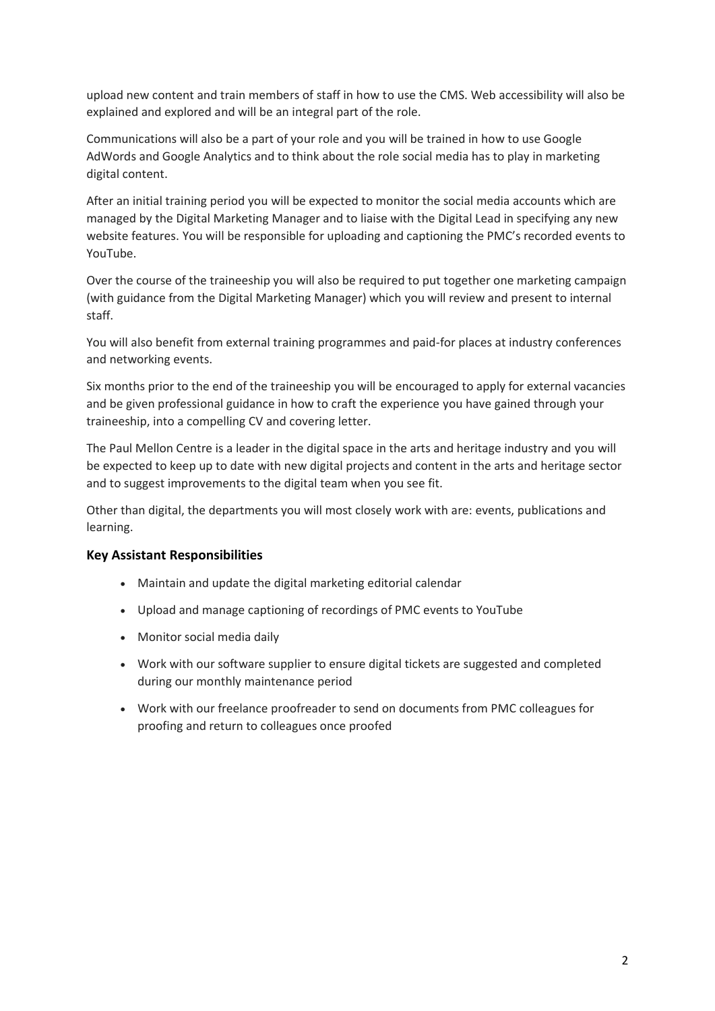upload new content and train members of staff in how to use the CMS. Web accessibility will also be explained and explored and will be an integral part of the role.

Communications will also be a part of your role and you will be trained in how to use Google AdWords and Google Analytics and to think about the role social media has to play in marketing digital content.

After an initial training period you will be expected to monitor the social media accounts which are managed by the Digital Marketing Manager and to liaise with the Digital Lead in specifying any new website features. You will be responsible for uploading and captioning the PMC's recorded events to YouTube.

Over the course of the traineeship you will also be required to put together one marketing campaign (with guidance from the Digital Marketing Manager) which you will review and present to internal staff.

You will also benefit from external training programmes and paid-for places at industry conferences and networking events.

Six months prior to the end of the traineeship you will be encouraged to apply for external vacancies and be given professional guidance in how to craft the experience you have gained through your traineeship, into a compelling CV and covering letter.

The Paul Mellon Centre is a leader in the digital space in the arts and heritage industry and you will be expected to keep up to date with new digital projects and content in the arts and heritage sector and to suggest improvements to the digital team when you see fit.

Other than digital, the departments you will most closely work with are: events, publications and learning.

# **Key Assistant Responsibilities**

- Maintain and update the digital marketing editorial calendar
- Upload and manage captioning of recordings of PMC events to YouTube
- Monitor social media daily
- Work with our software supplier to ensure digital tickets are suggested and completed during our monthly maintenance period
- Work with our freelance proofreader to send on documents from PMC colleagues for proofing and return to colleagues once proofed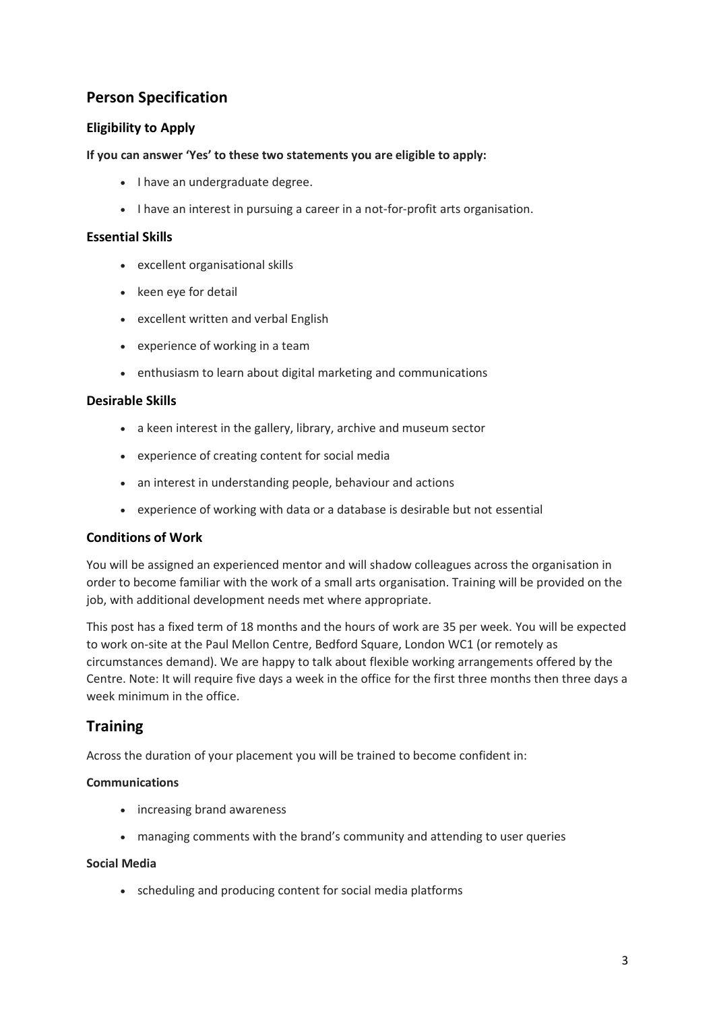# **Person Specification**

# **Eligibility to Apply**

### **If you can answer 'Yes' to these two statements you are eligible to apply:**

- I have an undergraduate degree.
- I have an interest in pursuing a career in a not-for-profit arts organisation.

#### **Essential Skills**

- excellent organisational skills
- keen eye for detail
- excellent written and verbal English
- experience of working in a team
- enthusiasm to learn about digital marketing and communications

#### **Desirable Skills**

- a keen interest in the gallery, library, archive and museum sector
- experience of creating content for social media
- an interest in understanding people, behaviour and actions
- experience of working with data or a database is desirable but not essential

# **Conditions of Work**

You will be assigned an experienced mentor and will shadow colleagues across the organisation in order to become familiar with the work of a small arts organisation. Training will be provided on the job, with additional development needs met where appropriate.

This post has a fixed term of 18 months and the hours of work are 35 per week. You will be expected to work on-site at the Paul Mellon Centre, Bedford Square, London WC1 (or remotely as circumstances demand). We are happy to talk about flexible working arrangements offered by the Centre. Note: It will require five days a week in the office for the first three months then three days a week minimum in the office.

# **Training**

Across the duration of your placement you will be trained to become confident in:

#### **Communications**

- increasing brand awareness
- managing comments with the brand's community and attending to user queries

#### **Social Media**

• scheduling and producing content for social media platforms